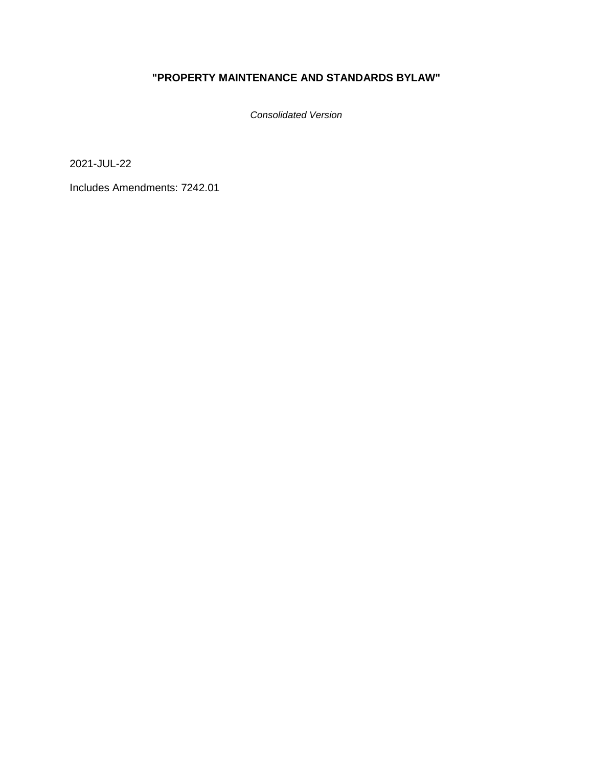# **"PROPERTY MAINTENANCE AND STANDARDS BYLAW"**

*Consolidated Version*

2021-JUL-22

Includes Amendments: 7242.01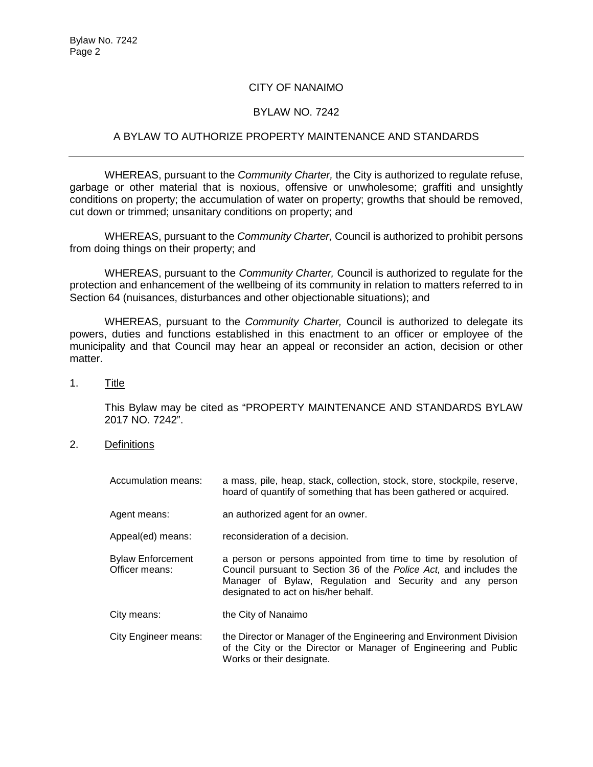## CITY OF NANAIMO

### BYLAW NO. 7242

## A BYLAW TO AUTHORIZE PROPERTY MAINTENANCE AND STANDARDS

WHEREAS, pursuant to the *Community Charter,* the City is authorized to regulate refuse, garbage or other material that is noxious, offensive or unwholesome; graffiti and unsightly conditions on property; the accumulation of water on property; growths that should be removed, cut down or trimmed; unsanitary conditions on property; and

WHEREAS, pursuant to the *Community Charter,* Council is authorized to prohibit persons from doing things on their property; and

WHEREAS, pursuant to the *Community Charter,* Council is authorized to regulate for the protection and enhancement of the wellbeing of its community in relation to matters referred to in Section 64 (nuisances, disturbances and other objectionable situations); and

WHEREAS, pursuant to the *Community Charter,* Council is authorized to delegate its powers, duties and functions established in this enactment to an officer or employee of the municipality and that Council may hear an appeal or reconsider an action, decision or other matter.

1. Title

This Bylaw may be cited as "PROPERTY MAINTENANCE AND STANDARDS BYLAW 2017 NO. 7242".

2. Definitions

| Accumulation means:                        | a mass, pile, heap, stack, collection, stock, store, stockpile, reserve,<br>hoard of quantify of something that has been gathered or acquired.                                                                                             |
|--------------------------------------------|--------------------------------------------------------------------------------------------------------------------------------------------------------------------------------------------------------------------------------------------|
| Agent means:                               | an authorized agent for an owner.                                                                                                                                                                                                          |
| Appeal(ed) means:                          | reconsideration of a decision.                                                                                                                                                                                                             |
| <b>Bylaw Enforcement</b><br>Officer means: | a person or persons appointed from time to time by resolution of<br>Council pursuant to Section 36 of the Police Act, and includes the<br>Manager of Bylaw, Regulation and Security and any person<br>designated to act on his/her behalf. |
| City means:                                | the City of Nanaimo                                                                                                                                                                                                                        |
| City Engineer means:                       | the Director or Manager of the Engineering and Environment Division<br>of the City or the Director or Manager of Engineering and Public<br>Works or their designate.                                                                       |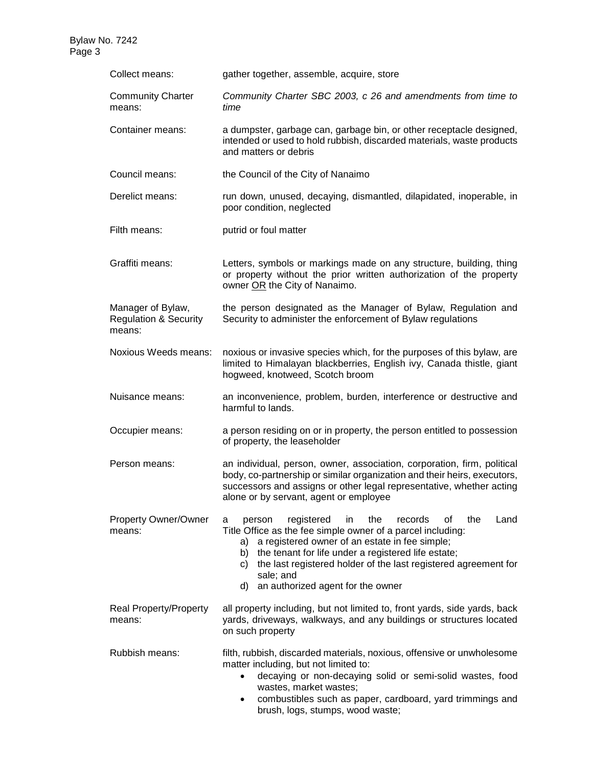| Collect means:                                                  | gather together, assemble, acquire, store                                                                                                                                                                                                                                                                                                                                                |
|-----------------------------------------------------------------|------------------------------------------------------------------------------------------------------------------------------------------------------------------------------------------------------------------------------------------------------------------------------------------------------------------------------------------------------------------------------------------|
| <b>Community Charter</b><br>means:                              | Community Charter SBC 2003, c 26 and amendments from time to<br>time                                                                                                                                                                                                                                                                                                                     |
| Container means:                                                | a dumpster, garbage can, garbage bin, or other receptacle designed,<br>intended or used to hold rubbish, discarded materials, waste products<br>and matters or debris                                                                                                                                                                                                                    |
| Council means:                                                  | the Council of the City of Nanaimo                                                                                                                                                                                                                                                                                                                                                       |
| Derelict means:                                                 | run down, unused, decaying, dismantled, dilapidated, inoperable, in<br>poor condition, neglected                                                                                                                                                                                                                                                                                         |
| Filth means:                                                    | putrid or foul matter                                                                                                                                                                                                                                                                                                                                                                    |
| Graffiti means:                                                 | Letters, symbols or markings made on any structure, building, thing<br>or property without the prior written authorization of the property<br>owner OR the City of Nanaimo.                                                                                                                                                                                                              |
| Manager of Bylaw,<br><b>Regulation &amp; Security</b><br>means: | the person designated as the Manager of Bylaw, Regulation and<br>Security to administer the enforcement of Bylaw regulations                                                                                                                                                                                                                                                             |
| Noxious Weeds means:                                            | noxious or invasive species which, for the purposes of this bylaw, are<br>limited to Himalayan blackberries, English ivy, Canada thistle, giant<br>hogweed, knotweed, Scotch broom                                                                                                                                                                                                       |
| Nuisance means:                                                 | an inconvenience, problem, burden, interference or destructive and<br>harmful to lands.                                                                                                                                                                                                                                                                                                  |
| Occupier means:                                                 | a person residing on or in property, the person entitled to possession<br>of property, the leaseholder                                                                                                                                                                                                                                                                                   |
| Person means:                                                   | an individual, person, owner, association, corporation, firm, political<br>body, co-partnership or similar organization and their heirs, executors,<br>successors and assigns or other legal representative, whether acting<br>alone or by servant, agent or employee                                                                                                                    |
| Property Owner/Owner<br>means:                                  | the<br>Land<br>registered<br>in<br>records<br>οf<br>the<br>person<br>a<br>Title Office as the fee simple owner of a parcel including:<br>a registered owner of an estate in fee simple;<br>a)<br>the tenant for life under a registered life estate;<br>b)<br>the last registered holder of the last registered agreement for<br>C)<br>sale; and<br>d) an authorized agent for the owner |
| Real Property/Property<br>means:                                | all property including, but not limited to, front yards, side yards, back<br>yards, driveways, walkways, and any buildings or structures located<br>on such property                                                                                                                                                                                                                     |
| Rubbish means:                                                  | filth, rubbish, discarded materials, noxious, offensive or unwholesome<br>matter including, but not limited to:<br>decaying or non-decaying solid or semi-solid wastes, food<br>$\bullet$<br>wastes, market wastes;<br>combustibles such as paper, cardboard, yard trimmings and<br>٠<br>brush, logs, stumps, wood waste;                                                                |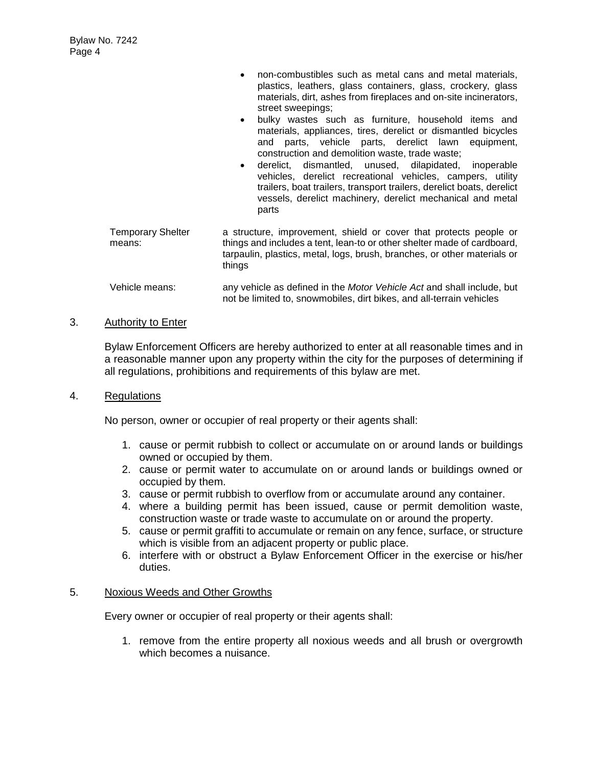| $\bullet$ | non-combustibles such as metal cans and metal materials,         |  |
|-----------|------------------------------------------------------------------|--|
|           | plastics, leathers, glass containers, glass, crockery, glass     |  |
|           | materials, dirt, ashes from fireplaces and on-site incinerators, |  |
|           | street sweepings;                                                |  |

- bulky wastes such as furniture, household items and materials, appliances, tires, derelict or dismantled bicycles and parts, vehicle parts, derelict lawn equipment, construction and demolition waste, trade waste;
- derelict, dismantled, unused, dilapidated, inoperable vehicles, derelict recreational vehicles, campers, utility trailers, boat trailers, transport trailers, derelict boats, derelict vessels, derelict machinery, derelict mechanical and metal parts
- Temporary Shelter means: a structure, improvement, shield or cover that protects people or things and includes a tent, lean-to or other shelter made of cardboard, tarpaulin, plastics, metal, logs, brush, branches, or other materials or things

#### Vehicle means: any vehicle as defined in the *Motor Vehicle Act* and shall include, but not be limited to, snowmobiles, dirt bikes, and all-terrain vehicles

#### 3. Authority to Enter

Bylaw Enforcement Officers are hereby authorized to enter at all reasonable times and in a reasonable manner upon any property within the city for the purposes of determining if all regulations, prohibitions and requirements of this bylaw are met.

#### 4. Regulations

No person, owner or occupier of real property or their agents shall:

- 1. cause or permit rubbish to collect or accumulate on or around lands or buildings owned or occupied by them.
- 2. cause or permit water to accumulate on or around lands or buildings owned or occupied by them.
- 3. cause or permit rubbish to overflow from or accumulate around any container.
- 4. where a building permit has been issued, cause or permit demolition waste, construction waste or trade waste to accumulate on or around the property.
- 5. cause or permit graffiti to accumulate or remain on any fence, surface, or structure which is visible from an adjacent property or public place.
- 6. interfere with or obstruct a Bylaw Enforcement Officer in the exercise or his/her duties.

#### 5. Noxious Weeds and Other Growths

Every owner or occupier of real property or their agents shall:

1. remove from the entire property all noxious weeds and all brush or overgrowth which becomes a nuisance.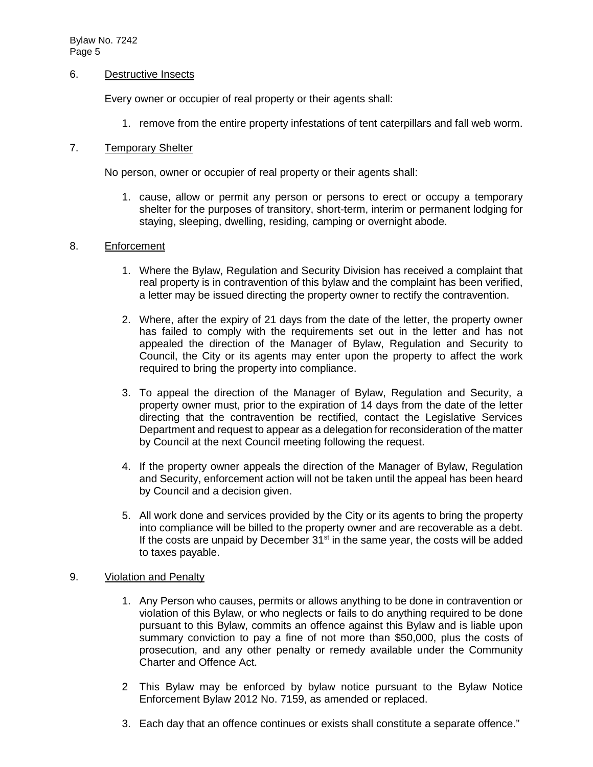#### 6. Destructive Insects

Every owner or occupier of real property or their agents shall:

1. remove from the entire property infestations of tent caterpillars and fall web worm.

#### 7. Temporary Shelter

No person, owner or occupier of real property or their agents shall:

1. cause, allow or permit any person or persons to erect or occupy a temporary shelter for the purposes of transitory, short-term, interim or permanent lodging for staying, sleeping, dwelling, residing, camping or overnight abode.

#### 8. Enforcement

- 1. Where the Bylaw, Regulation and Security Division has received a complaint that real property is in contravention of this bylaw and the complaint has been verified, a letter may be issued directing the property owner to rectify the contravention.
- 2. Where, after the expiry of 21 days from the date of the letter, the property owner has failed to comply with the requirements set out in the letter and has not appealed the direction of the Manager of Bylaw, Regulation and Security to Council, the City or its agents may enter upon the property to affect the work required to bring the property into compliance.
- 3. To appeal the direction of the Manager of Bylaw, Regulation and Security, a property owner must, prior to the expiration of 14 days from the date of the letter directing that the contravention be rectified, contact the Legislative Services Department and request to appear as a delegation for reconsideration of the matter by Council at the next Council meeting following the request.
- 4. If the property owner appeals the direction of the Manager of Bylaw, Regulation and Security, enforcement action will not be taken until the appeal has been heard by Council and a decision given.
- 5. All work done and services provided by the City or its agents to bring the property into compliance will be billed to the property owner and are recoverable as a debt. If the costs are unpaid by December  $31<sup>st</sup>$  in the same year, the costs will be added to taxes payable.

## 9. Violation and Penalty

- 1. Any Person who causes, permits or allows anything to be done in contravention or violation of this Bylaw, or who neglects or fails to do anything required to be done pursuant to this Bylaw, commits an offence against this Bylaw and is liable upon summary conviction to pay a fine of not more than \$50,000, plus the costs of prosecution, and any other penalty or remedy available under the Community Charter and Offence Act.
- 2 This Bylaw may be enforced by bylaw notice pursuant to the Bylaw Notice Enforcement Bylaw 2012 No. 7159, as amended or replaced.
- 3. Each day that an offence continues or exists shall constitute a separate offence."